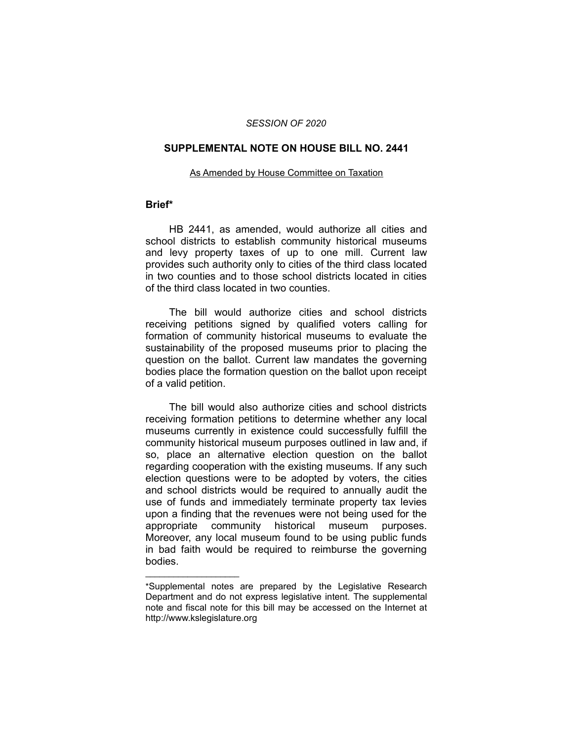### *SESSION OF 2020*

### **SUPPLEMENTAL NOTE ON HOUSE BILL NO. 2441**

#### As Amended by House Committee on Taxation

## **Brief\***

HB 2441, as amended, would authorize all cities and school districts to establish community historical museums and levy property taxes of up to one mill. Current law provides such authority only to cities of the third class located in two counties and to those school districts located in cities of the third class located in two counties.

The bill would authorize cities and school districts receiving petitions signed by qualified voters calling for formation of community historical museums to evaluate the sustainability of the proposed museums prior to placing the question on the ballot. Current law mandates the governing bodies place the formation question on the ballot upon receipt of a valid petition.

The bill would also authorize cities and school districts receiving formation petitions to determine whether any local museums currently in existence could successfully fulfill the community historical museum purposes outlined in law and, if so, place an alternative election question on the ballot regarding cooperation with the existing museums. If any such election questions were to be adopted by voters, the cities and school districts would be required to annually audit the use of funds and immediately terminate property tax levies upon a finding that the revenues were not being used for the appropriate community historical museum purposes. Moreover, any local museum found to be using public funds in bad faith would be required to reimburse the governing bodies.

 $\overline{\phantom{a}}$  , where  $\overline{\phantom{a}}$  , where  $\overline{\phantom{a}}$ 

<sup>\*</sup>Supplemental notes are prepared by the Legislative Research Department and do not express legislative intent. The supplemental note and fiscal note for this bill may be accessed on the Internet at http://www.kslegislature.org